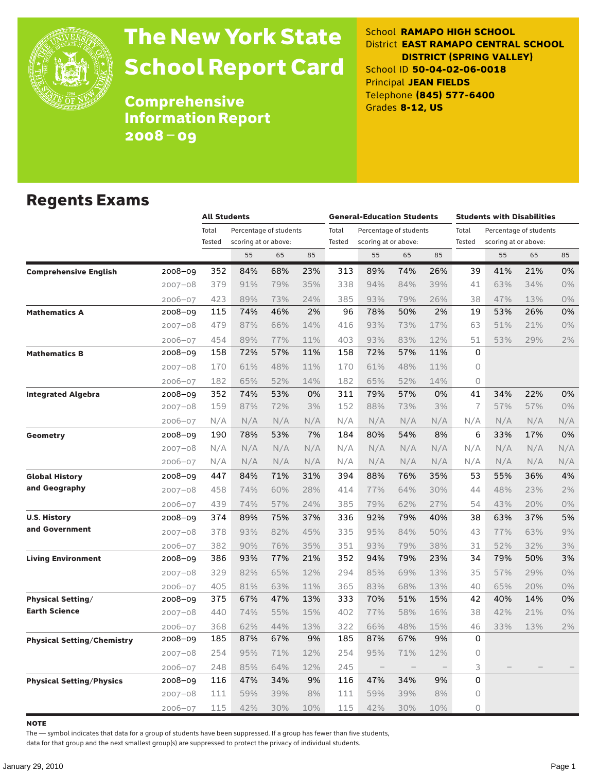

# The New York State School Report Card

School **RAMAPO HIGH SCHOOL** District **EAST RAMAPO CENTRAL SCHOOL DISTRICT (SPRING VALLEY)** School ID **50-04-02-06-0018** Principal **JEAN FIELDS** Telephone **(845) 577-6400** Grades **8-12, US**

Comprehensive Information Report 2008–09

#### Regents Exams

|                                 |             | <b>All Students</b> |                        |     |     | <b>General-Education Students</b> |                          |                        |                   | <b>Students with Disabilities</b> |                      |                        |       |
|---------------------------------|-------------|---------------------|------------------------|-----|-----|-----------------------------------|--------------------------|------------------------|-------------------|-----------------------------------|----------------------|------------------------|-------|
|                                 |             | Total               | Percentage of students |     |     | Total                             |                          | Percentage of students |                   | Total                             |                      | Percentage of students |       |
|                                 |             | Tested              | scoring at or above:   |     |     | Tested                            | scoring at or above:     |                        |                   | Tested                            | scoring at or above: |                        |       |
|                                 |             |                     | 55                     | 65  | 85  |                                   | 55                       | 65                     | 85                |                                   | 55                   | 65                     | 85    |
| <b>Comprehensive English</b>    | 2008-09     | 352                 | 84%                    | 68% | 23% | 313                               | 89%                      | 74%                    | 26%               | 39                                | 41%                  | 21%                    | 0%    |
|                                 | $2007 - 08$ | 379                 | 91%                    | 79% | 35% | 338                               | 94%                      | 84%                    | 39%               | 41                                | 63%                  | 34%                    | 0%    |
|                                 | 2006-07     | 423                 | 89%                    | 73% | 24% | 385                               | 93%                      | 79%                    | 26%               | 38                                | 47%                  | 13%                    | 0%    |
| <b>Mathematics A</b>            | 2008–09     | 115                 | 74%                    | 46% | 2%  | 96                                | 78%                      | 50%                    | 2%                | 19                                | 53%                  | 26%                    | 0%    |
|                                 | 2007-08     | 479                 | 87%                    | 66% | 14% | 416                               | 93%                      | 73%                    | 17%               | 63                                | 51%                  | 21%                    | 0%    |
|                                 | 2006-07     | 454                 | 89%                    | 77% | 11% | 403                               | 93%                      | 83%                    | 12%               | 51                                | 53%                  | 29%                    | 2%    |
| <b>Mathematics B</b>            | 2008–09     | 158                 | 72%                    | 57% | 11% | 158                               | 72%                      | 57%                    | 11%               | 0                                 |                      |                        |       |
|                                 | $2007 - 08$ | 170                 | 61%                    | 48% | 11% | 170                               | 61%                      | 48%                    | 11%               | $\Omega$                          |                      |                        |       |
|                                 | 2006-07     | 182                 | 65%                    | 52% | 14% | 182                               | 65%                      | 52%                    | 14%               | $\circ$                           |                      |                        |       |
| <b>Integrated Algebra</b>       | 2008-09     | 352                 | 74%                    | 53% | 0%  | 311                               | 79%                      | 57%                    | 0%                | 41                                | 34%                  | 22%                    | 0%    |
|                                 | $2007 - 08$ | 159                 | 87%                    | 72% | 3%  | 152                               | 88%                      | 73%                    | 3%                | $\overline{1}$                    | 57%                  | 57%                    | 0%    |
|                                 | 2006-07     | N/A                 | N/A                    | N/A | N/A | N/A                               | N/A                      | N/A                    | N/A               | N/A                               | N/A                  | N/A                    | N/A   |
| Geometry                        | 2008-09     | 190                 | 78%                    | 53% | 7%  | 184                               | 80%                      | 54%                    | 8%                | 6                                 | 33%                  | 17%                    | 0%    |
|                                 | $2007 - 08$ | N/A                 | N/A                    | N/A | N/A | N/A                               | N/A                      | N/A                    | N/A               | N/A                               | N/A                  | N/A                    | N/A   |
|                                 | 2006-07     | N/A                 | N/A                    | N/A | N/A | N/A                               | N/A                      | N/A                    | N/A               | N/A                               | N/A                  | N/A                    | N/A   |
| <b>Global History</b>           | 2008-09     | 447                 | 84%                    | 71% | 31% | 394                               | 88%                      | 76%                    | 35%               | 53                                | 55%                  | 36%                    | 4%    |
| and Geography                   | $2007 - 08$ | 458                 | 74%                    | 60% | 28% | 414                               | 77%                      | 64%                    | 30%               | 44                                | 48%                  | 23%                    | 2%    |
|                                 | $2006 - 07$ | 439                 | 74%                    | 57% | 24% | 385                               | 79%                      | 62%                    | 27%               | 54                                | 43%                  | 20%                    | 0%    |
| <b>U.S. History</b>             | 2008-09     | 374                 | 89%                    | 75% | 37% | 336                               | 92%                      | 79%                    | 40%               | 38                                | 63%                  | 37%                    | 5%    |
| and Government                  | $2007 - 08$ | 378                 | 93%                    | 82% | 45% | 335                               | 95%                      | 84%                    | 50%               | 43                                | 77%                  | 63%                    | 9%    |
|                                 | 2006-07     | 382                 | 90%                    | 76% | 35% | 351                               | 93%                      | 79%                    | 38%               | 31                                | 52%                  | 32%                    | 3%    |
| <b>Living Environment</b>       | 2008-09     | 386                 | 93%                    | 77% | 21% | 352                               | 94%                      | 79%                    | 23%               | 34                                | 79%                  | 50%                    | 3%    |
|                                 | $2007 - 08$ | 329                 | 82%                    | 65% | 12% | 294                               | 85%                      | 69%                    | 13%               | 35                                | 57%                  | 29%                    | 0%    |
|                                 | 2006-07     | 405                 | 81%                    | 63% | 11% | 365                               | 83%                      | 68%                    | 13%               | 40                                | 65%                  | 20%                    | 0%    |
| <b>Physical Setting/</b>        | 2008-09     | 375                 | 67%                    | 47% | 13% | 333                               | 70%                      | 51%                    | 15%               | 42                                | 40%                  | 14%                    | 0%    |
| <b>Earth Science</b>            | $2007 - 08$ | 440                 | 74%                    | 55% | 15% | 402                               | 77%                      | 58%                    | 16%               | 38                                | 42%                  | 21%                    | $0\%$ |
|                                 | 2006-07     | 368                 | 62%                    | 44% | 13% | 322                               | 66%                      | 48%                    | 15%               | 46                                | 33%                  | 13%                    | 2%    |
| Physical Setting/Chemistry      | $2008 - 09$ | 185                 | 87%                    | 67% | 9%  | 185                               | 87%                      | 67%                    | 9%                | 0                                 |                      |                        |       |
|                                 | 2007-08     | 254                 | 95%                    | 71% | 12% | 254                               | 95%                      | 71%                    | 12%               | $\circ$                           |                      |                        |       |
|                                 | 2006-07     | 248                 | 85%                    | 64% | 12% | 245                               | $\overline{\phantom{m}}$ | $\qquad \qquad -$      | $\qquad \qquad -$ | 3                                 |                      |                        |       |
| <b>Physical Setting/Physics</b> | 2008–09     | 116                 | 47%                    | 34% | 9%  | 116                               | 47%                      | 34%                    | 9%                | 0                                 |                      |                        |       |
|                                 | 2007-08     | 111                 | 59%                    | 39% | 8%  | 111                               | 59%                      | 39%                    | 8%                | $\circ$                           |                      |                        |       |
|                                 | 2006-07     | 115                 | 42%                    | 30% | 10% | 115                               | 42%                      | 30%                    | 10%               | $\Omega$                          |                      |                        |       |

**NOTE** 

The — symbol indicates that data for a group of students have been suppressed. If a group has fewer than five students,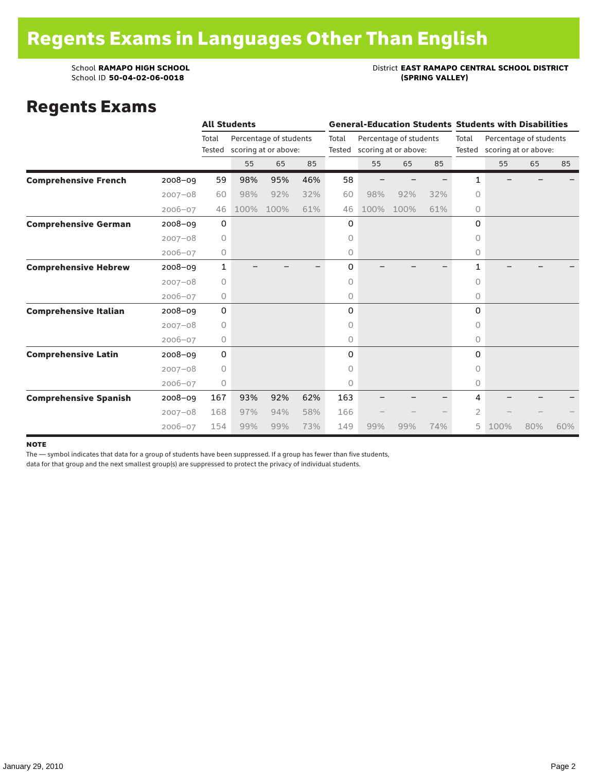## School **RAMAPO HIGH SCHOOL**<br>School ID 50-04-02-06-0018<br>(SPRING VALLEY)

#### Regents Exams

|                              |             |             | <b>All Students</b> |                        |     |       |                             |                        |     |              | <b>General-Education Students Students with Disabilities</b> |     |     |  |
|------------------------------|-------------|-------------|---------------------|------------------------|-----|-------|-----------------------------|------------------------|-----|--------------|--------------------------------------------------------------|-----|-----|--|
|                              |             | Total       |                     | Percentage of students |     | Total |                             | Percentage of students |     | Total        | Percentage of students                                       |     |     |  |
|                              |             | Tested      |                     | scoring at or above:   |     |       | Tested scoring at or above: |                        |     |              | Tested scoring at or above:                                  |     |     |  |
|                              |             |             | 55                  | 65                     | 85  |       | 55                          | 65                     | 85  |              | 55                                                           | 65  | 85  |  |
| <b>Comprehensive French</b>  | $2008 - 09$ | 59          | 98%                 | 95%                    | 46% | 58    |                             |                        |     | 1.           |                                                              |     |     |  |
|                              | $2007 - 08$ | 60          | 98%                 | 92%                    | 32% | 60    | 98%                         | 92%                    | 32% | 0            |                                                              |     |     |  |
|                              | $2006 - 07$ | 46          | 100%                | 100%                   | 61% | 46    | 100%                        | 100%                   | 61% | 0            |                                                              |     |     |  |
| <b>Comprehensive German</b>  | $2008 - 09$ | 0           |                     |                        |     | 0     |                             |                        |     | 0            |                                                              |     |     |  |
|                              | $2007 - 08$ | $\circ$     |                     |                        |     | 0     |                             |                        |     | 0            |                                                              |     |     |  |
|                              | $2006 - 07$ | $\circ$     |                     |                        |     | 0     |                             |                        |     | 0            |                                                              |     |     |  |
| <b>Comprehensive Hebrew</b>  | $2008 - 09$ | 1           |                     |                        |     | 0     |                             |                        |     | $\mathbf{1}$ |                                                              |     |     |  |
|                              | $2007 - 08$ | 0           |                     |                        |     | 0     |                             |                        |     | $\circ$      |                                                              |     |     |  |
|                              | $2006 - 07$ | 0           |                     |                        |     | 0     |                             |                        |     | 0            |                                                              |     |     |  |
| <b>Comprehensive Italian</b> | $2008 - 09$ | 0           |                     |                        |     | 0     |                             |                        |     | 0            |                                                              |     |     |  |
|                              | $2007 - 08$ | $\circ$     |                     |                        |     | 0     |                             |                        |     | 0            |                                                              |     |     |  |
|                              | $2006 - 07$ | 0           |                     |                        |     | 0     |                             |                        |     | 0            |                                                              |     |     |  |
| <b>Comprehensive Latin</b>   | $2008 - 09$ | $\mathbf 0$ |                     |                        |     | 0     |                             |                        |     | $\Omega$     |                                                              |     |     |  |
|                              | $2007 - 08$ | $\circ$     |                     |                        |     | 0     |                             |                        |     | 0            |                                                              |     |     |  |
|                              | $2006 - 07$ | 0           |                     |                        |     | 0     |                             |                        |     | $\circ$      |                                                              |     |     |  |
| <b>Comprehensive Spanish</b> | $2008 - 09$ | 167         | 93%                 | 92%                    | 62% | 163   |                             |                        |     | 4            |                                                              |     |     |  |
|                              | $2007 - 08$ | 168         | 97%                 | 94%                    | 58% | 166   |                             |                        |     | 2            |                                                              |     |     |  |
|                              | $2006 - 07$ | 154         | 99%                 | 99%                    | 73% | 149   | 99%                         | 99%                    | 74% | 5            | 100%                                                         | 80% | 60% |  |

#### note

The — symbol indicates that data for a group of students have been suppressed. If a group has fewer than five students,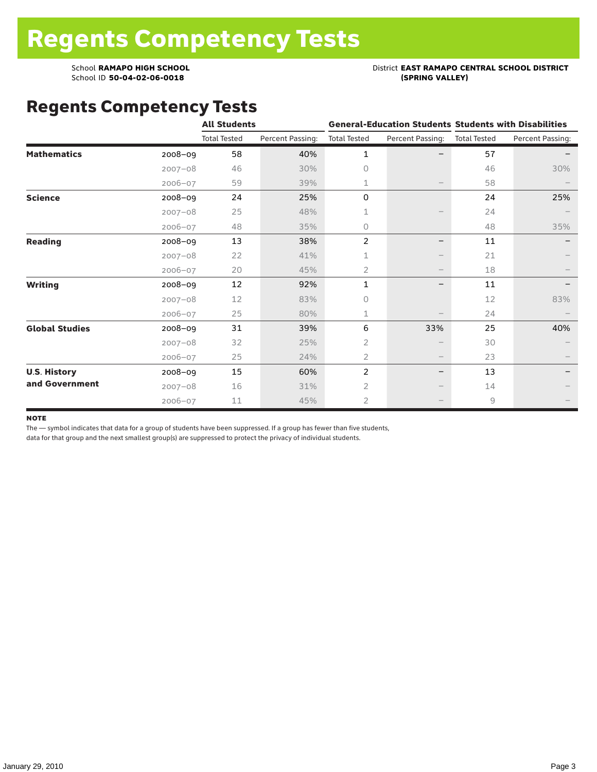### School **RAMAPO HIGH SCHOOL**<br>School ID 50-04-02-06-0018<br>(SPRING VALLEY)

### Regents Competency Tests

|                       |             | <b>All Students</b> |                  |                     |                                 | <b>General-Education Students Students with Disabilities</b> |                  |  |
|-----------------------|-------------|---------------------|------------------|---------------------|---------------------------------|--------------------------------------------------------------|------------------|--|
|                       |             | <b>Total Tested</b> | Percent Passing: | <b>Total Tested</b> | Percent Passing:                | <b>Total Tested</b>                                          | Percent Passing: |  |
| <b>Mathematics</b>    | $2008 - 09$ | 58                  | 40%              | 1                   |                                 | 57                                                           |                  |  |
|                       | $2007 - 08$ | 46                  | 30%              | $\Omega$            |                                 | 46                                                           | 30%              |  |
|                       | $2006 - 07$ | 59                  | 39%              | 1                   |                                 | 58                                                           |                  |  |
| <b>Science</b>        | 2008-09     | 24                  | 25%              | 0                   |                                 | 24                                                           | 25%              |  |
|                       | $2007 - 08$ | 25                  | 48%              | 1                   |                                 | 24                                                           |                  |  |
|                       | $2006 - 07$ | 48                  | 35%              | 0                   |                                 | 48                                                           | 35%              |  |
| <b>Reading</b>        | 2008-09     | 13                  | 38%              | $\overline{2}$      | -                               | 11                                                           |                  |  |
|                       | $2007 - 08$ | 22                  | 41%              | 1                   |                                 | 21                                                           |                  |  |
|                       | $2006 - 07$ | 20                  | 45%              | 2                   |                                 | 18                                                           |                  |  |
| <b>Writing</b>        | 2008-09     | 12                  | 92%              | $\mathbf{1}$        | -                               | 11                                                           |                  |  |
|                       | $2007 - 08$ | 12                  | 83%              | 0                   |                                 | 12                                                           | 83%              |  |
|                       | $2006 - 07$ | 25                  | 80%              | 1                   |                                 | 24                                                           |                  |  |
| <b>Global Studies</b> | 2008-09     | 31                  | 39%              | 6                   | 33%                             | 25                                                           | 40%              |  |
|                       | $2007 - 08$ | 32                  | 25%              | 2                   |                                 | 30                                                           |                  |  |
|                       | $2006 - 07$ | 25                  | 24%              | 2                   | $\hspace{0.1mm}-\hspace{0.1mm}$ | 23                                                           |                  |  |
| <b>U.S. History</b>   | 2008-09     | 15                  | 60%              | $\overline{c}$      | -                               | 13                                                           |                  |  |
| and Government        | $2007 - 08$ | 16                  | 31%              | 2                   |                                 | 14                                                           |                  |  |
|                       | $2006 - 07$ | 11                  | 45%              | $\overline{2}$      |                                 | 9                                                            |                  |  |

#### **NOTE**

The — symbol indicates that data for a group of students have been suppressed. If a group has fewer than five students,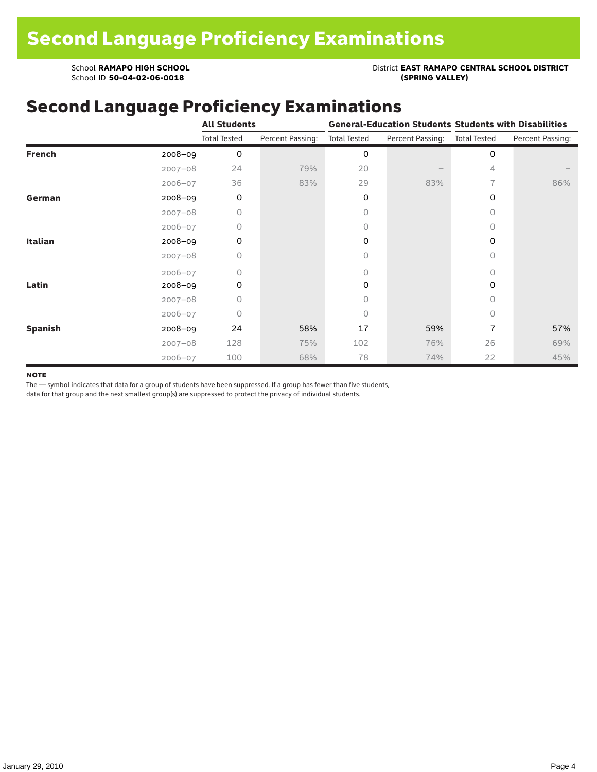School **RAMAPO HIGH SCHOOL**<br>School ID 50-04-02-06-0018<br>(SPRING VALLEY)

School ID 50-04-02-06-0018

### Second Language Proficiency Examinations

|                |             | <b>All Students</b> |                  | <b>General-Education Students Students with Disabilities</b> |                  |                     |                  |  |
|----------------|-------------|---------------------|------------------|--------------------------------------------------------------|------------------|---------------------|------------------|--|
|                |             | <b>Total Tested</b> | Percent Passing: | <b>Total Tested</b>                                          | Percent Passing: | <b>Total Tested</b> | Percent Passing: |  |
| <b>French</b>  | 2008-09     | 0                   |                  | 0                                                            |                  | 0                   |                  |  |
|                | $2007 - 08$ | 24                  | 79%              | 20                                                           |                  | 4                   |                  |  |
|                | $2006 - 07$ | 36                  | 83%              | 29                                                           | 83%              | 7                   | 86%              |  |
| German         | 2008-09     | 0                   |                  | 0                                                            |                  | 0                   |                  |  |
|                | $2007 - 08$ | 0                   |                  | 0                                                            |                  | $\Omega$            |                  |  |
|                | $2006 - 07$ | 0                   |                  | $\circ$                                                      |                  | $\circ$             |                  |  |
| <b>Italian</b> | $2008 - 09$ | 0                   |                  | 0                                                            |                  | 0                   |                  |  |
|                | $2007 - 08$ | 0                   |                  | 0                                                            |                  | $\circ$             |                  |  |
|                | $2006 - 07$ | Ω                   |                  | 0                                                            |                  | 0                   |                  |  |
| Latin          | 2008-09     | $\Omega$            |                  | 0                                                            |                  | 0                   |                  |  |
|                | $2007 - 08$ | O                   |                  | 0                                                            |                  | $\bigcap$           |                  |  |
|                | $2006 - 07$ | 0                   |                  | 0                                                            |                  | $\Omega$            |                  |  |
| <b>Spanish</b> | 2008-09     | 24                  | 58%              | 17                                                           | 59%              | 7                   | 57%              |  |
|                | $2007 - 08$ | 128                 | 75%              | 102                                                          | 76%              | 26                  | 69%              |  |
|                | $2006 - 07$ | 100                 | 68%              | 78                                                           | 74%              | 22                  | 45%              |  |

#### **NOTE**

The — symbol indicates that data for a group of students have been suppressed. If a group has fewer than five students,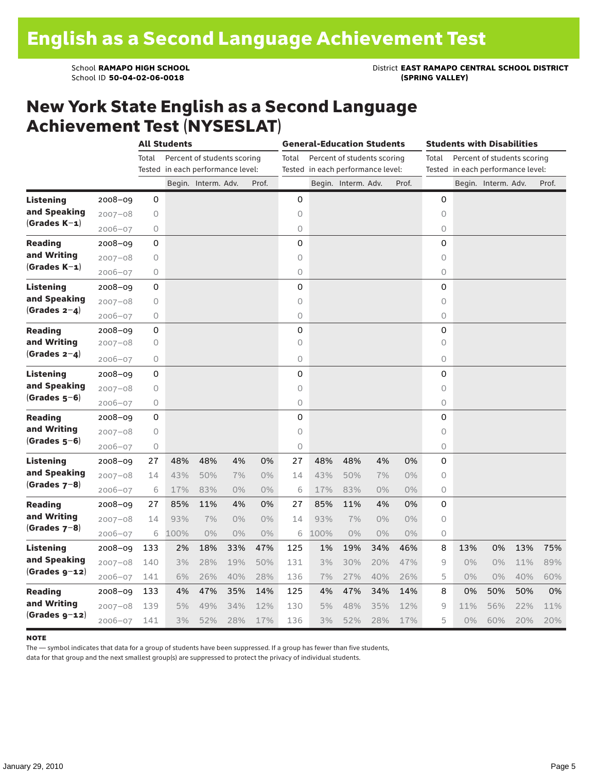School **RAMAPO HIGH SCHOOL**<br>School ID 50-04-02-06-0018<br>(SPRING VALLEY)

#### New York State English as a Second Language Achievement Test (NYSESLAT)

|                  |             |             | <b>All Students</b>               |                             |       |       | <b>General-Education Students</b><br>Students with Disabilities |                                   |                             |       |       |         |                                   |                             |     |       |
|------------------|-------------|-------------|-----------------------------------|-----------------------------|-------|-------|-----------------------------------------------------------------|-----------------------------------|-----------------------------|-------|-------|---------|-----------------------------------|-----------------------------|-----|-------|
|                  |             | Total       |                                   | Percent of students scoring |       |       | Total                                                           |                                   | Percent of students scoring |       |       | Total   |                                   | Percent of students scoring |     |       |
|                  |             |             | Tested in each performance level: |                             |       |       |                                                                 | Tested in each performance level: |                             |       |       |         | Tested in each performance level: |                             |     |       |
|                  |             |             |                                   | Begin. Interm. Adv.         |       | Prof. |                                                                 |                                   | Begin. Interm. Adv.         |       | Prof. |         |                                   | Begin. Interm. Adv.         |     | Prof. |
| <b>Listening</b> | $2008 - 09$ | 0           |                                   |                             |       |       | 0                                                               |                                   |                             |       |       | 0       |                                   |                             |     |       |
| and Speaking     | $2007 - 08$ | 0           |                                   |                             |       |       | $\circ$                                                         |                                   |                             |       |       | $\circ$ |                                   |                             |     |       |
| $(Grades K-1)$   | $2006 - 07$ | 0           |                                   |                             |       |       | 0                                                               |                                   |                             |       |       | 0       |                                   |                             |     |       |
| <b>Reading</b>   | $2008 - 09$ | 0           |                                   |                             |       |       | 0                                                               |                                   |                             |       |       | 0       |                                   |                             |     |       |
| and Writing      | $2007 - 08$ | 0           |                                   |                             |       |       | 0                                                               |                                   |                             |       |       | 0       |                                   |                             |     |       |
| $(Grades K-1)$   | $2006 - 07$ | 0           |                                   |                             |       |       | 0                                                               |                                   |                             |       |       | 0       |                                   |                             |     |       |
| <b>Listening</b> | $2008 - 09$ | 0           |                                   |                             |       |       | 0                                                               |                                   |                             |       |       | 0       |                                   |                             |     |       |
| and Speaking     | $2007 - 08$ | 0           |                                   |                             |       |       | $\circ$                                                         |                                   |                             |       |       | $\circ$ |                                   |                             |     |       |
| (Grades $2-4$ )  | $2006 - 07$ | 0           |                                   |                             |       |       | 0                                                               |                                   |                             |       |       | 0       |                                   |                             |     |       |
| <b>Reading</b>   | $2008 - 09$ | 0           |                                   |                             |       |       | 0                                                               |                                   |                             |       |       | 0       |                                   |                             |     |       |
| and Writing      | $2007 - 08$ | 0           |                                   |                             |       |       | $\circ$                                                         |                                   |                             |       |       | $\circ$ |                                   |                             |     |       |
| $(Grades 2-4)$   | $2006 - 07$ | 0           |                                   |                             |       |       | $\circ$                                                         |                                   |                             |       |       | 0       |                                   |                             |     |       |
| <b>Listening</b> | $2008 - 09$ | 0           |                                   |                             |       |       | 0                                                               |                                   |                             |       |       | 0       |                                   |                             |     |       |
| and Speaking     | $2007 - 08$ | 0           |                                   |                             |       |       | $\circ$                                                         |                                   |                             |       |       | $\circ$ |                                   |                             |     |       |
| $(Grades 5-6)$   | $2006 - 07$ | 0           |                                   |                             |       |       | 0                                                               |                                   |                             |       |       | 0       |                                   |                             |     |       |
| <b>Reading</b>   | $2008 - 09$ | 0           |                                   |                             |       |       | 0                                                               |                                   |                             |       |       | 0       |                                   |                             |     |       |
| and Writing      | $2007 - 08$ | 0           |                                   |                             |       |       | $\circ$                                                         |                                   |                             |       |       | $\circ$ |                                   |                             |     |       |
| (Grades 5–6)     | $2006 - 07$ | $\mathsf O$ |                                   |                             |       |       | $\circ$                                                         |                                   |                             |       |       | 0       |                                   |                             |     |       |
| <b>Listening</b> | $2008 - 09$ | 27          | 48%                               | 48%                         | 4%    | 0%    | 27                                                              | 48%                               | 48%                         | 4%    | 0%    | 0       |                                   |                             |     |       |
| and Speaking     | $2007 - 08$ | 14          | 43%                               | 50%                         | 7%    | 0%    | 14                                                              | 43%                               | 50%                         | 7%    | $0\%$ | 0       |                                   |                             |     |       |
| $(Grades 7-8)$   | $2006 - 07$ | 6           | 17%                               | 83%                         | $0\%$ | 0%    | 6                                                               | 17%                               | 83%                         | $0\%$ | $0\%$ | 0       |                                   |                             |     |       |
| <b>Reading</b>   | $2008 - 09$ | 27          | 85%                               | 11%                         | 4%    | 0%    | 27                                                              | 85%                               | 11%                         | 4%    | 0%    | 0       |                                   |                             |     |       |
| and Writing      | $2007 - 08$ | 14          | 93%                               | 7%                          | 0%    | 0%    | 14                                                              | 93%                               | 7%                          | 0%    | 0%    | 0       |                                   |                             |     |       |
| $(Grades 7-8)$   | $2006 - 07$ | 6           | 100%                              | 0%                          | 0%    | 0%    | 6                                                               | 100%                              | $0\%$                       | 0%    | 0%    | 0       |                                   |                             |     |       |
| <b>Listening</b> | $2008 - 09$ | 133         | 2%                                | 18%                         | 33%   | 47%   | 125                                                             | 1%                                | 19%                         | 34%   | 46%   | 8       | 13%                               | 0%                          | 13% | 75%   |
| and Speaking     | $2007 - 08$ | 140         | 3%                                | 28%                         | 19%   | 50%   | 131                                                             | 3%                                | 30%                         | 20%   | 47%   | 9       | 0%                                | $0\%$                       | 11% | 89%   |
| (Grades g-12)    | $2006 - 07$ | 141         | 6%                                | 26%                         | 40%   | 28%   | 136                                                             | 7%                                | 27%                         | 40%   | 26%   | 5       | $0\%$                             | $0\%$                       | 40% | 60%   |
| <b>Reading</b>   | $2008 - 09$ | 133         | 4%                                | 47%                         | 35%   | 14%   | 125                                                             | 4%                                | 47%                         | 34%   | 14%   | 8       | 0%                                | 50%                         | 50% | 0%    |
| and Writing      | $2007 - 08$ | 139         | 5%                                | 49%                         | 34%   | 12%   | 130                                                             | 5%                                | 48%                         | 35%   | 12%   | 9       | 11%                               | 56%                         | 22% | 11%   |
| $(Grades g-12)$  | $2006 - 07$ | 141         | 3%                                | 52%                         | 28%   | 17%   | 136                                                             | 3%                                | 52%                         | 28%   | 17%   | 5       | $0\%$                             | 60%                         | 20% | 20%   |

#### **NOTE**

The — symbol indicates that data for a group of students have been suppressed. If a group has fewer than five students,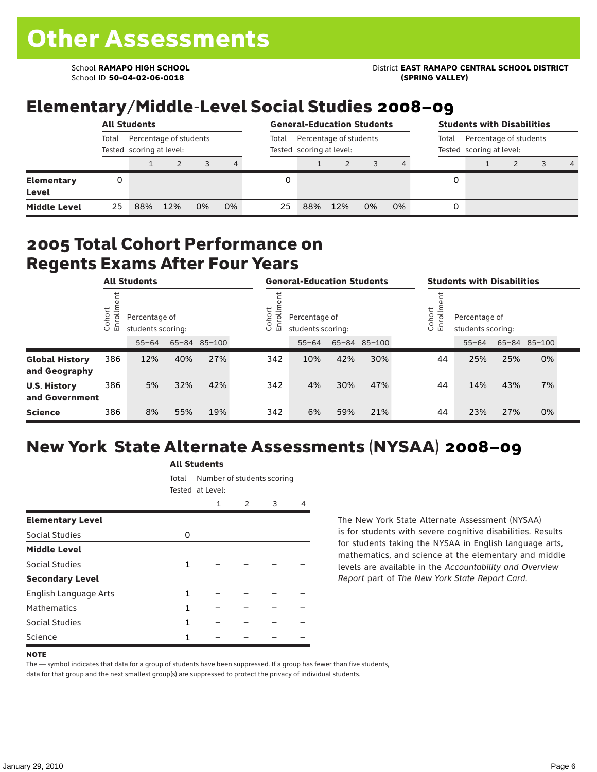School ID **50-04-02-06-0018 (SPRING VALLEY)**

School **RAMAPO HIGH SCHOOL** District **EAST RAMAPO CENTRAL SCHOOL DISTRICT**

## Elementary/Middle-Level Social Studies 2008–09

|                            | <b>All Students</b> |     |                                                    |    |    |       | <b>General-Education Students</b> |                                                    |    |    |       | <b>Students with Disabilities</b>                  |  |  |                |  |  |
|----------------------------|---------------------|-----|----------------------------------------------------|----|----|-------|-----------------------------------|----------------------------------------------------|----|----|-------|----------------------------------------------------|--|--|----------------|--|--|
|                            | Total               |     | Percentage of students<br>Tested scoring at level: |    |    | Total |                                   | Percentage of students<br>Tested scoring at level: |    |    | Total | Percentage of students<br>Tested scoring at level: |  |  |                |  |  |
|                            |                     |     |                                                    |    | 4  |       |                                   |                                                    |    |    |       |                                                    |  |  | $\overline{4}$ |  |  |
| <b>Elementary</b><br>Level | 0                   |     |                                                    |    |    |       |                                   |                                                    |    |    | 0     |                                                    |  |  |                |  |  |
| <b>Middle Level</b>        | 25                  | 88% | 12%                                                | 0% | 0% | 25    | 88%                               | 12%                                                | 0% | 0% | 0     |                                                    |  |  |                |  |  |

#### 2005 Total Cohort Performance on Regents Exams After Four Years

|                                        | <b>All Students</b>    |           |                                                    |     | <b>General-Education Students</b> |     |                                                        |     | <b>Students with Disabilities</b> |  |    |                                                        |     |              |  |  |
|----------------------------------------|------------------------|-----------|----------------------------------------------------|-----|-----------------------------------|-----|--------------------------------------------------------|-----|-----------------------------------|--|----|--------------------------------------------------------|-----|--------------|--|--|
|                                        | Cohort<br>$\circ$<br>ᇛ |           | Percentage of<br>students scoring:<br>65-84 85-100 |     |                                   |     | Cohort<br>Percentage of<br>ō<br>巴<br>students scoring: |     |                                   |  |    | Cohort<br>Percentage of<br>S<br>모<br>students scoring: |     |              |  |  |
|                                        |                        | $55 - 64$ |                                                    |     |                                   |     | $55 - 64$                                              |     | 65-84 85-100                      |  |    | $55 - 64$                                              |     | 65-84 85-100 |  |  |
| <b>Global History</b><br>and Geography | 386                    | 12%       | 40%                                                | 27% |                                   | 342 | 10%                                                    | 42% | 30%                               |  | 44 | 25%                                                    | 25% | 0%           |  |  |
| <b>U.S. History</b><br>and Government  | 386                    | 5%        | 32%                                                | 42% |                                   | 342 | 4%                                                     | 30% | 47%                               |  | 44 | 14%                                                    | 43% | 7%           |  |  |
| <b>Science</b>                         | 386                    | 8%        | 55%                                                | 19% |                                   | 342 | 6%                                                     | 59% | 21%                               |  | 44 | 23%                                                    | 27% | 0%           |  |  |

# New York State Alternate Assessments (NYSAA) 2008–09

|                         | AIL SLUUTIILS |                            |   |   |   |  |  |  |  |  |
|-------------------------|---------------|----------------------------|---|---|---|--|--|--|--|--|
|                         | Total         | Number of students scoring |   |   |   |  |  |  |  |  |
|                         |               | Tested at Level:           |   |   |   |  |  |  |  |  |
|                         |               | 1                          | 2 | 3 | 4 |  |  |  |  |  |
| <b>Elementary Level</b> |               |                            |   |   |   |  |  |  |  |  |
| <b>Social Studies</b>   | 0             |                            |   |   |   |  |  |  |  |  |
| <b>Middle Level</b>     |               |                            |   |   |   |  |  |  |  |  |
| <b>Social Studies</b>   | 1             |                            |   |   |   |  |  |  |  |  |
| <b>Secondary Level</b>  |               |                            |   |   |   |  |  |  |  |  |
| English Language Arts   | 1             |                            |   |   |   |  |  |  |  |  |
| <b>Mathematics</b>      | 1             |                            |   |   |   |  |  |  |  |  |
| Social Studies          | 1             |                            |   |   |   |  |  |  |  |  |
| Science                 |               |                            |   |   |   |  |  |  |  |  |

All C<sub>tude</sub>

The New York State Alternate Assessment (NYSAA) is for students with severe cognitive disabilities. Results for students taking the NYSAA in English language arts, mathematics, and science at the elementary and middle levels are available in the *Accountability and Overview Report* part of *The New York State Report Card*.

The — symbol indicates that data for a group of students have been suppressed. If a group has fewer than five students, data for that group and the next smallest group(s) are suppressed to protect the privacy of individual students.

**NOTE**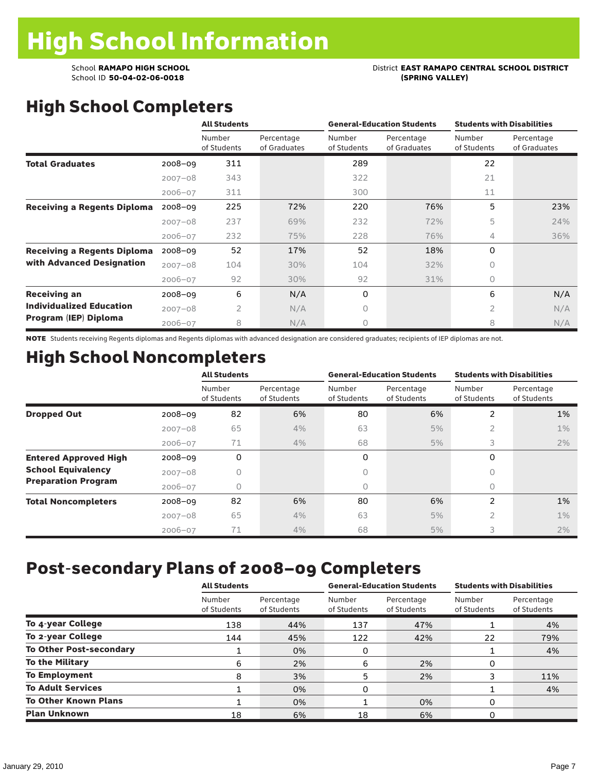# School **RAMAPO HIGH SCHOOL**<br>School ID 50-04-02-06-0018<br>(SPRING VALLEY)

# High School Completers

|                                    |             | <b>All Students</b>   |                            |                       | <b>General-Education Students</b> | <b>Students with Disabilities</b> |                            |  |
|------------------------------------|-------------|-----------------------|----------------------------|-----------------------|-----------------------------------|-----------------------------------|----------------------------|--|
|                                    |             | Number<br>of Students | Percentage<br>of Graduates | Number<br>of Students | Percentage<br>of Graduates        | Number<br>of Students             | Percentage<br>of Graduates |  |
| <b>Total Graduates</b>             | $2008 - 09$ | 311                   |                            | 289                   |                                   | 22                                |                            |  |
|                                    | $2007 - 08$ | 343                   |                            | 322                   |                                   | 21                                |                            |  |
|                                    | $2006 - 07$ | 311                   |                            | 300                   |                                   | 11                                |                            |  |
| <b>Receiving a Regents Diploma</b> | $2008 - 09$ | 225                   | 72%                        | 220                   | 76%                               | 5                                 | 23%                        |  |
|                                    | $2007 - 08$ | 237                   | 69%                        | 232                   | 72%                               | 5                                 | 24%                        |  |
|                                    | $2006 - 07$ | 232                   | 75%                        | 228                   | 76%                               | 4                                 | 36%                        |  |
| <b>Receiving a Regents Diploma</b> | $2008 - 09$ | 52                    | 17%                        | 52                    | 18%                               | 0                                 |                            |  |
| with Advanced Designation          | $2007 - 08$ | 104                   | 30%                        | 104                   | 32%                               | 0                                 |                            |  |
|                                    | $2006 - 07$ | 92                    | 30%                        | 92                    | 31%                               | 0                                 |                            |  |
| <b>Receiving an</b>                | $2008 - 09$ | 6                     | N/A                        | 0                     |                                   | 6                                 | N/A                        |  |
| <b>Individualized Education</b>    | $2007 - 08$ | $\overline{2}$        | N/A                        | 0                     |                                   | $\overline{2}$                    | N/A                        |  |
| Program (IEP) Diploma              | $2006 - 07$ | 8                     | N/A                        | 0                     |                                   | 8                                 | N/A                        |  |

NOTE Students receiving Regents diplomas and Regents diplomas with advanced designation are considered graduates; recipients of IEP diplomas are not.

## High School Noncompleters

|                              |             | <b>All Students</b>   |                           |                       | <b>General-Education Students</b> | <b>Students with Disabilities</b> |                           |  |
|------------------------------|-------------|-----------------------|---------------------------|-----------------------|-----------------------------------|-----------------------------------|---------------------------|--|
|                              |             | Number<br>of Students | Percentage<br>of Students | Number<br>of Students | Percentage<br>of Students         | Number<br>of Students             | Percentage<br>of Students |  |
| <b>Dropped Out</b>           | $2008 - 09$ | 82                    | 6%                        | 80                    | 6%                                | 2                                 | 1%                        |  |
|                              | $2007 - 08$ | 65                    | 4%                        | 63                    | 5%                                | $\overline{2}$                    | $1\%$                     |  |
|                              | $2006 - 07$ | 71                    | 4%                        | 68                    | 5%                                | 3                                 | 2%                        |  |
| <b>Entered Approved High</b> | $2008 - 09$ | 0                     |                           | 0                     |                                   | 0                                 |                           |  |
| <b>School Equivalency</b>    | $2007 - 08$ | 0                     |                           | 0                     |                                   | 0                                 |                           |  |
| <b>Preparation Program</b>   | $2006 - 07$ | 0                     |                           | 0                     |                                   | $\bigcap$                         |                           |  |
| <b>Total Noncompleters</b>   | $2008 - 09$ | 82                    | 6%                        | 80                    | 6%                                | 2                                 | 1%                        |  |
|                              | $2007 - 08$ | 65                    | 4%                        | 63                    | 5%                                | 2                                 | $1\%$                     |  |
|                              | $2006 - 07$ | 71                    | 4%                        | 68                    | 5%                                | 3                                 | 2%                        |  |

### Post-secondary Plans of 2008–09 Completers

|                                | <b>All Students</b>   |                           |                       | <b>General-Education Students</b> | <b>Students with Disabilities</b> |                           |  |
|--------------------------------|-----------------------|---------------------------|-----------------------|-----------------------------------|-----------------------------------|---------------------------|--|
|                                | Number<br>of Students | Percentage<br>of Students | Number<br>of Students | Percentage<br>of Students         | Number<br>of Students             | Percentage<br>of Students |  |
| To 4-year College              | 138                   | 44%                       | 137                   | 47%                               |                                   | 4%                        |  |
| To 2-year College              | 144                   | 45%                       | 122                   | 42%                               | 22                                | 79%                       |  |
| <b>To Other Post-secondary</b> |                       | 0%                        | 0                     |                                   |                                   | 4%                        |  |
| <b>To the Military</b>         | 6                     | 2%                        | 6                     | 2%                                | 0                                 |                           |  |
| <b>To Employment</b>           | 8                     | 3%                        | 5                     | 2%                                |                                   | 11%                       |  |
| <b>To Adult Services</b>       |                       | 0%                        | 0                     |                                   |                                   | 4%                        |  |
| <b>To Other Known Plans</b>    |                       | 0%                        |                       | 0%                                | 0                                 |                           |  |
| <b>Plan Unknown</b>            | 18                    | 6%                        | 18                    | 6%                                | 0                                 |                           |  |